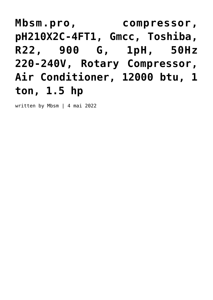**[Mbsm.pro, compressor,](https://www.mbsm.pro/ph210x2c-4ft1) [pH210X2C-4FT1, Gmcc, Toshiba,](https://www.mbsm.pro/ph210x2c-4ft1) [R22, 900 G, 1pH, 50Hz](https://www.mbsm.pro/ph210x2c-4ft1) [220-240V, Rotary Compressor,](https://www.mbsm.pro/ph210x2c-4ft1) [Air Conditioner, 12000 btu, 1](https://www.mbsm.pro/ph210x2c-4ft1) [ton, 1.5 hp](https://www.mbsm.pro/ph210x2c-4ft1)**

written by Mbsm | 4 mai 2022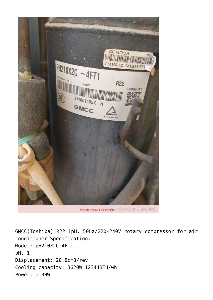

GMCC(Toshiba) R22 1pH. 50Hz/220-240V rotary compressor for air conditioner Specification: Model: pH210X2C-4FT1 pH. 1 Displacement: 20.8cm3/rev Cooling capacity: 3620W 12344BTU/wh Power: 1130W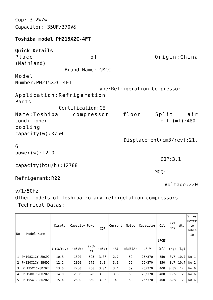Cop: 3.2W/w Capacitor: 35UF/370V&

## **Toshiba model PH215X2C-4FT**

## **Quick Details**

Place of Origin:China (Mainland) Brand Name: GMCC Model Number:PH215X2C-4FT Type:Refrigeration Compressor Application:Refrigeration Parts Certification:CE Name:Toshiba compressor floor Split air conditioner oil (ml):480 cooling capacity(w):3750 Displacement(cm3/rev):21.

## 6

power(w):1210

capacity(btu/h):12788

Refrigerant:R22

Voltage:220

v/1/50Hz

Other models of Toshiba rotary refrigetation compressors Technical Datas:

 $\mathsf{COP:3.1}$ 

 $\mathsf{MOQ}:\mathbb{1}$ 

| NO.          | Model Name      | Displ.             | Capacity Power |            | C <sub>OP</sub> | Current | Noise   | Capacitor   | Oil   | R <sub>22</sub><br>Max | Wt.  | Sizes<br>Refer<br>to<br>Table<br>10 |
|--------------|-----------------|--------------------|----------------|------------|-----------------|---------|---------|-------------|-------|------------------------|------|-------------------------------------|
|              |                 |                    |                |            |                 |         |         |             | (POE) |                        |      |                                     |
|              |                 | $(\text{cm3/rev})$ | (±5%W)         | (±5%<br>W) | (±5%)           | (A)     | ±3dB(A) | $\mu$ F - V | (ml)  | (kg)                   | (kg) |                                     |
| $\mathbf{1}$ | PH108X1CY-8BGD2 | 10.8               | 1820           | 595        | 3.06            | 2.7     | 59      | 25/370      | 350   | 0.7                    | 10.7 | No.1                                |
| 2            | PH120X1CY-8BGD2 | 12.2               | 2090           | 675        | 3.1             | 3.1     | 59      | 25/370      | 350   | 0.7                    | 10.7 | No.1                                |
| 3            | PH135X1C-8DZD2  | 13.6               | 2280           | 750        | 3.04            | 3.4     | 59      | 25/370      | 400   | 0.85                   | 12   | No.6                                |
| 4            | PH150X1C-8DZD2  | 14.8               | 2500           | 820        | 3.05            | 3.8     | 60      | 25/370      | 400   | 0.85                   | 12   | No.6                                |
| 5            | PH155X1C-8DZD2  | 15.4               | 2600           | 850        | 3.06            | 4       | 59      | 25/370      | 400   | 0.85                   | 12   | No.6                                |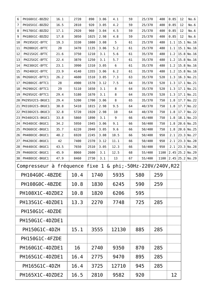| 6                            | PH160X1C-8DZD2                                             | 16.1 | 2720 | 890  | 3.06 | 4.1        |    | 59           | 25/370 |     | 400  | 0.85 | 12 | No.6              |  |
|------------------------------|------------------------------------------------------------|------|------|------|------|------------|----|--------------|--------|-----|------|------|----|-------------------|--|
| 7                            | PH165X1C-8DZD2                                             | 16.5 | 2810 | 920  | 3.05 | 4.2<br>59  |    |              | 25/370 |     | 400  | 0.85 | 12 | No.6              |  |
| 8                            | PH170X1C-8DZD2                                             | 17.1 | 2920 | 960  | 3.04 | 4.5        |    | 59           | 25/370 |     | 400  | 0.85 | 12 | No.6              |  |
| 9                            | PH180X1C-8DZD2                                             | 17.8 | 3050 | 1025 | 2.98 | 4.8        |    | 59           | 25/370 |     | 400  | 0.85 | 12 | No.6              |  |
| 10                           | PH195X2C-8FTC                                              | 19.3 | 3330 | 1080 | 3.08 | 5          |    | 61           | 25/370 |     | 480  | 1.1  |    | $15.1$ No. 16     |  |
| 11                           | PH200X2C-8FTC                                              | 20   | 3470 | 1135 | 3.06 | 5.2        |    | 61           | 25/370 |     | 480  | 1.1  |    | $15.1$ No. 16     |  |
| 12                           | PH215X2C-8FTC                                              | 21.6 | 3750 | 1210 | 3.1  | 5.6        |    | 61           | 35/370 |     | 480  | 1.2  |    | $15.8$ No. 16     |  |
| 13                           | PH225X2C-8FTC                                              | 22.4 | 3870 | 1250 | 3.1  | 5.7        |    | 61           | 35/370 |     | 480  | 1.2  |    | $15.8$ No. 16     |  |
| 14                           | PH230X2C-8FTC                                              | 23.1 | 3990 | 1310 | 3.05 | 6          |    | 61           | 35/370 |     | 480  | 1.2  |    | $15.8$ No. 16     |  |
| 15                           | PH240X2C-8FTC                                              | 23.9 | 4140 | 1355 | 3.06 | $6.2$      |    | 61           | 35/370 |     | 480  | 1.2  |    | $15.8$ No. 16     |  |
| 16                           | PH260X2C-8FTC1                                             | 26.2 | 4600 | 1510 | 3.05 | 7.3        |    | 63           | 35/370 |     | 520  | 1.3  |    | $16.3$ No. 21     |  |
| 17                           | PH280X2C-8FTC1                                             | 28   | 4900 | 1570 | 3.12 | 7.5        |    | 64           | 35/370 |     | 520  | 1.3  |    | $17.1$ No. 21     |  |
| 18                           | PH290X2C-8FTC1                                             | 29   | 5110 | 1650 | 3.1  | 8          |    | 64           | 35/370 |     | 520  | 1.3  |    | $17.1$ No. 21     |  |
| 19                           | PH295X2C-8FTC1                                             | 29.4 | 5180 | 1670 | 3.1  | 8          |    | 64           | 35/370 |     | 520  | 1.3  |    | $17.1$ No. 21     |  |
| 20                           | PH295X2CS-8KUC1                                            | 29.4 | 5200 | 1700 | 3.06 | 8          |    | 65           | 35/370 |     | 750  | 1.8  |    | $17.7$ No. 22     |  |
| 21                           | PH310X2CS-8KUC1                                            | 30.8 | 5410 | 1815 | 2.98 | 9.5        |    | 64           | 40/370 |     | 750  | 1.8  |    | $17.7$ No. 22     |  |
|                              | 22 PH330X2CS-8KUC3                                         | 32.8 | 5720 | 1920 | 2.98 | 10         |    | 64           | 40/370 |     | 750  | 1.8  |    | $17.7$ No. 22     |  |
|                              | 23 PH340X2CS-8KUC1                                         | 33.8 | 5860 | 1890 | 3.1  | 9          |    | 66           | 45/400 |     | 750  | 1.8  |    | $18.1$ No.23      |  |
| 24                           | PH340X3C-8KUC1                                             | 34.2 | 5950 | 1945 | 3.06 | 9.1        |    | 66           | 50/400 |     | 750  | 1.8  |    | $20.6$ No. 25     |  |
| 25                           | PH360X3C-8KUC1                                             | 35.7 | 6220 | 2040 | 3.05 | 9.6        |    | 50/400<br>66 |        |     | 750  | 1.8  |    | $20.6$ No. 25     |  |
| 26                           | PH400X3C-8KUC1                                             | 40.2 | 6920 | 2245 | 3.08 | 10.5       |    | 66           | 50/400 |     | 950  | 2.1  |    | $23.3$ No. 27     |  |
| 27                           | PH420X3C-8KUC1                                             | 42   | 7400 | 2370 | 3.12 | 11.1       |    | 66<br>50/400 |        |     | 950  | 2.1  |    | $23.3$ No. 28     |  |
| 28                           | PH440X3C-8KUC1                                             | 43.5 | 7650 | 2510 | 3.05 | 12.3<br>66 |    |              | 50/400 |     | 950  | 2.1  |    | $23.3$ No. 28     |  |
| 29                           | PH460X3C-8KUC1                                             | 45.9 | 8060 | 2600 | 3.1  | 12.5       | 68 |              | 55/400 |     | 1100 |      |    | $2.45$ 25.2 No.29 |  |
| PH480X3C-8KUC1<br>30<br>47.9 |                                                            |      | 8460 | 2730 | 3.1  | 13         |    | 67           | 55/400 |     | 1100 |      |    | $2.45$ 25.2 No.29 |  |
|                              | Compresseur à fréquence fixe 1 & phi; -50Hz-220V/240V, R22 |      |      |      |      |            |    |              |        |     |      |      |    |                   |  |
|                              | PH104G0C-4BZDE                                             |      | 10.4 | 1740 |      | 5935       |    |              | 580    |     | 259  |      |    |                   |  |
|                              | PH108G0C-4BZDE                                             |      | 10.8 | 1830 |      | 6245       |    |              | 590    |     | 259  |      |    |                   |  |
|                              | PH108X1C-4DZDE2                                            |      | 10.8 | 1820 |      | 6206       |    | 595          |        |     |      |      |    |                   |  |
|                              | PH135G1C-4DZDE1                                            |      | 13.3 |      | 2270 | 7748       |    | 725          |        | 285 |      |      |    |                   |  |
|                              | PH150G1C-4DZDE                                             |      |      |      |      |            |    |              |        |     |      |      |    |                   |  |
|                              | PH150G1C-4DZDE1                                            |      |      |      |      |            |    |              |        |     |      |      |    |                   |  |
| PH150G1C-4DZH                |                                                            |      | 15.1 |      | 3555 | 12130      |    |              | 885    |     | 285  |      |    |                   |  |
|                              | PH150G1C-4FZDE                                             |      |      |      |      |            |    |              |        |     |      |      |    |                   |  |
| PH160G1C-4DZDE1              |                                                            |      | 16   |      | 2740 | 9350       |    |              |        |     |      |      |    |                   |  |
|                              |                                                            |      |      |      |      |            |    | 870          |        | 285 |      |      |    |                   |  |
|                              | PH165G1C-4DZDE1                                            |      | 16.4 |      | 2775 | 9470       |    | 895          |        | 285 |      |      |    |                   |  |
|                              | PH165G1C-4DZH                                              |      | 16.4 |      | 3725 | 12710      |    |              | 945    | 285 |      |      |    |                   |  |
| PH165X1C-4DZDE2              |                                                            |      | 16.5 | 2810 |      | 9582       |    |              | 920    |     |      | 12   |    |                   |  |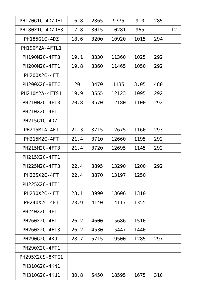| PH170G1C-4DZDE1        | 16.8 | 2865 | 9775  | 910  | 285 |    |
|------------------------|------|------|-------|------|-----|----|
| PH180X1C-4DZDE3        | 17.8 | 3015 | 10281 | 965  |     | 12 |
| PH185G1C-4DZ           | 18.6 | 3200 | 10920 | 1015 | 294 |    |
| PH190M2A-4FTL1         |      |      |       |      |     |    |
| PH190M2C-4FT3          | 19.1 | 3330 | 11360 | 1025 | 292 |    |
| PH200M2C-4FT1          | 19.8 | 3360 | 11465 | 1050 | 292 |    |
| PH200X2C-4FT           |      |      |       |      |     |    |
| <b>PH200X2C-8FTC</b>   | 20   | 3470 | 1135  | 3.05 | 480 |    |
| PH210M2A-4FTS1         | 19.9 | 3555 | 12123 | 1095 | 292 |    |
| PH210M2C-4FT3          | 20.8 | 3570 | 12180 | 1100 | 292 |    |
| PH210X2C-4FT1          |      |      |       |      |     |    |
| PH215G1C-4DZ1          |      |      |       |      |     |    |
| <b>PH215M1A-4FT</b>    | 21.3 | 3715 | 12675 | 1160 | 293 |    |
| <b>PH215M2C-4FT</b>    | 21.4 | 3710 | 12660 | 1195 | 292 |    |
| PH215M2C-4FT3          | 21.4 | 3720 | 12695 | 1145 | 292 |    |
| PH215X2C-4FT1          |      |      |       |      |     |    |
| PH225M2C-4FT3          | 22.4 | 3895 | 13290 | 1200 | 292 |    |
| PH225X2C-4FT           | 22.4 | 3870 | 13197 | 1250 |     |    |
| PH225X2C-4FT1          |      |      |       |      |     |    |
| <b>PH230X2C-4FT</b>    | 23.1 | 3990 | 13606 | 1310 |     |    |
| <b>PH240X2C-4FT</b>    | 23.9 | 4140 | 14117 | 1355 |     |    |
| PH240X2C-4FT1          |      |      |       |      |     |    |
| PH260X2C-4FT1          | 26.2 | 4600 | 15686 | 1510 |     |    |
| PH260X2C-4FT3          | 26.2 | 4530 | 15447 | 1440 |     |    |
| <b>PH290G2C-4KUL</b>   | 28.7 | 5715 | 19500 | 1285 | 297 |    |
| PH290X2C-4FT1          |      |      |       |      |     |    |
| <b>PH295X2CS-8KTC1</b> |      |      |       |      |     |    |
| PH310G2C-4KN1          |      |      |       |      |     |    |
| PH310G2C-4KU1          | 30.8 | 5450 | 18595 | 1675 | 310 |    |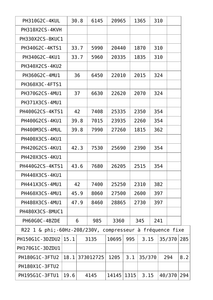| <b>PH310G2C-4KUL</b>        |      | 30.8 | 6145      | 20965                        |      | 1365   | 310 |     |        |     |
|-----------------------------|------|------|-----------|------------------------------|------|--------|-----|-----|--------|-----|
| PH310X2CS-4KVH              |      |      |           |                              |      |        |     |     |        |     |
| PH330X2CS-8KUC1             |      |      |           |                              |      |        |     |     |        |     |
| PH340G2C-4KTS1              |      | 33.7 | 5990      | 20440                        |      | 1870   | 310 |     |        |     |
| PH340G2C-4KU1               |      | 33.7 | 5960      | 20335                        |      | 1835   | 310 |     |        |     |
| PH340X2CS-4KU2              |      |      |           |                              |      |        |     |     |        |     |
| PH360G2C-4MU1               |      | 36   | 6450      | 22010                        |      | 2015   |     | 324 |        |     |
| PH360X3C-4FTS1              |      |      |           |                              |      |        |     |     |        |     |
| PH370G2CS-4MU1              |      | 37   | 6630      | 22620                        |      | 2070   |     | 324 |        |     |
| PH371X3CS-4MU1              |      |      |           |                              |      |        |     |     |        |     |
| PH400G2CS-4KTS1             |      | 42   | 7408      | 25335                        |      | 2350   |     | 354 |        |     |
| PH400G2CS-4KU1              |      | 39.8 | 7015      | 23935                        |      | 2260   |     | 354 |        |     |
| PH400M3CS-4MUL              |      | 39.8 | 7990      | 27260                        |      | 1815   |     | 362 |        |     |
| PH400X3CS-4KU1              |      |      |           |                              |      |        |     |     |        |     |
| PH420G2CS-4KU1              |      | 42.3 | 7530      | 25690                        |      | 2390   | 354 |     |        |     |
| PH420X3CS-4KU1              |      |      |           |                              |      |        |     |     |        |     |
| PH440G2CS-4KTS1             |      | 43.6 | 7680      | 26205                        |      | 2515   |     | 354 |        |     |
| PH440X3CS-4KU1              |      |      |           |                              |      |        |     |     |        |     |
| <b>PH441X3CS-4MU1</b>       |      | 42   | 7400      | 25250                        |      | 2310   |     | 382 |        |     |
| PH460X3CS-4MU1              |      | 45.9 | 8060      | 27500                        |      | 2600   |     | 397 |        |     |
| PH480X3CS-4MU1              |      | 47.9 | 8460      | 28865                        | 2730 |        |     | 397 |        |     |
| PH480X3CS-8MUC1             |      |      |           |                              |      |        |     |     |        |     |
| PH60G0C-4BZDE               |      | 6    | 985       | 3360                         |      | 345    | 241 |     |        |     |
| R22 1 & phi;-60Hz-208/230V, |      |      |           | compresseur à fréquence fixe |      |        |     |     |        |     |
| PH150G1C-3DZDU2             | 15.1 |      | 3135      | 10695                        | 995  | 3.15   |     |     | 35/370 | 285 |
| PH170G1C-3DZDU1             |      |      |           |                              |      |        |     |     |        |     |
| PH180G1C-3FTU2              | 18.1 |      | 373012725 | 1205                         | 3.1  | 35/370 |     | 294 |        | 8.2 |
| PH180X1C-3FTU2              |      |      |           |                              |      |        |     |     |        |     |
| PH195G1C-3FTU1              | 19.6 |      | 4145      | 14145                        | 1315 | 3.15   |     |     | 40/370 | 294 |
|                             |      |      |           |                              |      |        |     |     |        |     |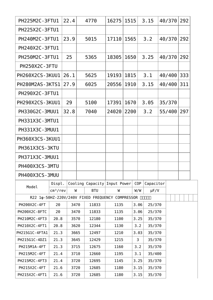| PH225M2C-3FTU1                                       |                      | 22.4         |      | 4770                         | 16275         | 1515         |                 |                        | 3.15             | 40/370 |        |     |     | 292 |  |
|------------------------------------------------------|----------------------|--------------|------|------------------------------|---------------|--------------|-----------------|------------------------|------------------|--------|--------|-----|-----|-----|--|
| PH225X2C-3FTU1                                       |                      |              |      |                              |               |              |                 |                        |                  |        |        |     |     |     |  |
| PH240M2C-3FTU1                                       |                      | 23.9         | 5015 |                              | 17110         |              | 1565            |                        | 3.2              |        | 40/370 |     | 292 |     |  |
| PH240X2C-3FTU1                                       |                      |              |      |                              |               |              |                 |                        |                  |        |        |     |     |     |  |
| PH250M2C-3FTU1                                       |                      | 25           | 5365 |                              | 18305         |              | 1650<br>3.25    |                        | 40/370           |        | 292    |     |     |     |  |
| <b>PH250X2C-3FTU</b>                                 |                      |              |      |                              |               |              |                 |                        |                  |        |        |     |     |     |  |
| PH260X2CS-3KUU1                                      |                      | 26.1         | 5625 |                              | 19193         | 1815         |                 |                        | 3.1              | 40/400 |        | 333 |     |     |  |
| <b>PH280M2AS-3KTS1</b>                               |                      | 27.9         |      | 6025                         | 20556         | 1910         |                 |                        | 3.15             | 40/400 |        |     |     | 311 |  |
| PH290X2C-3FTU1                                       |                      |              |      |                              |               |              |                 |                        |                  |        |        |     |     |     |  |
| PH290X2CS-3KUU1                                      |                      | 29           | 5100 |                              | 17391<br>1670 |              | 3.05            |                        | 35/370           |        |        |     |     |     |  |
| PH330G2C-3MUU1                                       |                      | 32.8         | 7040 |                              | 2200<br>24020 |              | 3.2             |                        | 55/400           |        |        | 297 |     |     |  |
| PH331X3C-3MTU1                                       |                      |              |      |                              |               |              |                 |                        |                  |        |        |     |     |     |  |
| PH331X3C-3MUU1                                       |                      |              |      |                              |               |              |                 |                        |                  |        |        |     |     |     |  |
| PH360X3CS-3KUU1                                      |                      |              |      |                              |               |              |                 |                        |                  |        |        |     |     |     |  |
| PH361X3CS-3KTU                                       |                      |              |      |                              |               |              |                 |                        |                  |        |        |     |     |     |  |
| PH371X3C-3MUU1                                       |                      |              |      |                              |               |              |                 |                        |                  |        |        |     |     |     |  |
| PH400X3CS-3MTU                                       |                      |              |      |                              |               |              |                 |                        |                  |        |        |     |     |     |  |
|                                                      |                      |              |      |                              |               |              |                 |                        |                  |        |        |     |     |     |  |
| PH400X3CS-3MUU                                       |                      |              |      |                              |               |              |                 |                        |                  |        |        |     |     |     |  |
| Model                                                | Displ.               |              |      | Cooling Capacity Input Power |               |              | C <sub>OP</sub> |                        | Capacitor        |        |        |     |     |     |  |
|                                                      | cm <sup>3</sup> /rev | W            |      | <b>BTU</b>                   | W             |              | W/W             |                        | $\mu$ F/V        |        |        |     |     |     |  |
| R22 1¢-50HZ-220V/240V FIXED FREQUENCY COMPRESSOR NNM |                      |              |      |                              |               |              |                 |                        |                  |        |        |     |     |     |  |
| PH200X2C-4FT<br>20                                   |                      | 3470<br>3470 |      | 11833<br>11833               | 1135          | 1135         |                 | 3.06<br>25/370<br>3.06 |                  |        |        |     |     |     |  |
| PH200X2C-8FTC<br>20                                  |                      | 3570         |      | 12180                        | 1100          |              | 3.25            |                        | 25/370           |        |        |     |     |     |  |
| PH210M2C-4FT3<br>20.8                                |                      | 3620         |      | 12344                        | 1130          |              |                 |                        | 35/370           |        |        |     |     |     |  |
| 20.8<br>PH210X2C-4FT1                                |                      | 3665         |      | 12497                        | 1210          |              | 3.2<br>3.03     |                        | 35/370           |        |        |     |     |     |  |
| 21.3<br>PH215G1C-4FTA1                               |                      | 3645         |      | 12429                        | 1215          |              | 3               |                        | 35/370<br>35/370 |        |        |     |     |     |  |
| 21.3<br>PH215G1C-4DZ1                                |                      | 3715         |      | 12675                        | 1160          |              |                 |                        | 35/370           |        |        |     |     |     |  |
| PH215M1A-4FT<br>21.3                                 |                      | 3710         |      | 12660                        | 1195          |              | 3.2             |                        | 35/400           |        |        |     |     |     |  |
| PH215M2C-4FT<br>21.4<br>PH215M2C-4FT3<br>21.4        |                      | 3720         |      | 12695                        | 1145          |              | 3.1<br>3.25     |                        | 35/370           |        |        |     |     |     |  |
| PH215X2C-4FT                                         | 21.6                 | 3720         |      | 12685                        | 1180          |              |                 |                        | 35/370           |        |        |     |     |     |  |
| PH215X2C-4FT1<br>21.6                                |                      |              | 3720 | 12685                        | 1180          | 3.15<br>3.15 |                 |                        | 35/370           |        |        |     |     |     |  |